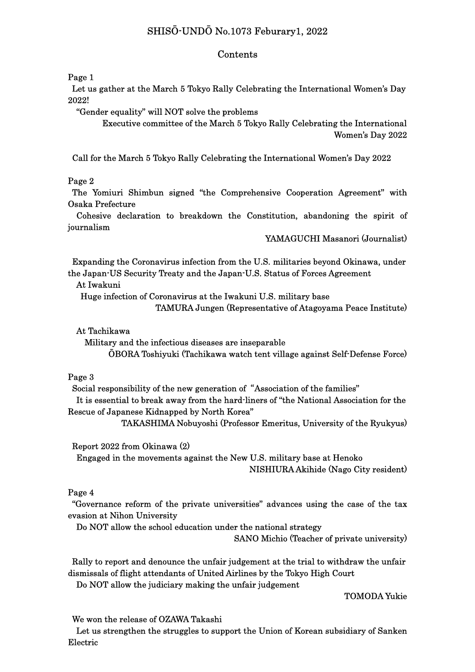# SHISŌ-UNDŌ No.1073 Feburary1, 2022

#### Contents

Page 1

 Let us gather at the March 5 Tokyo Rally Celebrating the International Women's Day 2022!

"Gender equality" will NOT solve the problems

 Executive committee of the March 5 Tokyo Rally Celebrating the International Women's Day 2022

Call for the March 5 Tokyo Rally Celebrating the International Women's Day 2022

#### Page 2

The Yomiuri Shimbun signed "the Comprehensive Cooperation Agreement" with Osaka Prefecture

 Cohesive declaration to breakdown the Constitution, abandoning the spirit of journalism

YAMAGUCHI Masanori (Journalist)

 Expanding the Coronavirus infection from the U.S. militaries beyond Okinawa, under the Japan-US Security Treaty and the Japan-U.S. Status of Forces Agreement

At Iwakuni

Huge infection of Coronavirus at the Iwakuni U.S. military base

TAMURA Jungen (Representative of Atagoyama Peace Institute)

At Tachikawa

 Military and the infectious diseases are inseparable ŌBORA Toshiyuki (Tachikawa watch tent village against Self-Defense Force)

#### Page 3

Social responsibility of the new generation of "Association of the families"

It is essential to break away from the hard-liners of "the National Association for the Rescue of Japanese Kidnapped by North Korea"

TAKASHIMA Nobuyoshi (Professor Emeritus, University of the Ryukyus)

Report 2022 from Okinawa (2)

 Engaged in the movements against the New U.S. military base at Henoko NISHIURA Akihide (Nago City resident)

### Page 4

 "Governance reform of the private universities" advances using the case of the tax evasion at Nihon University

Do NOT allow the school education under the national strategy

SANO Michio (Teacher of private university)

 Rally to report and denounce the unfair judgement at the trial to withdraw the unfair dismissals of flight attendants of United Airlines by the Tokyo High Court

Do NOT allow the judiciary making the unfair judgement

TOMODA Yukie

We won the release of OZAWA Takashi

 Let us strengthen the struggles to support the Union of Korean subsidiary of Sanken Electric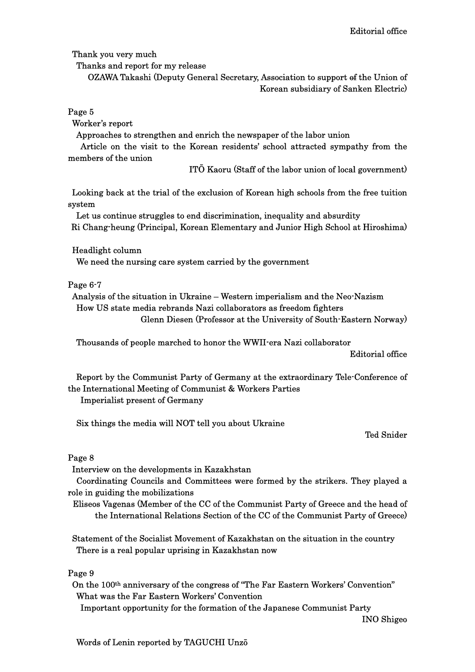Thank you very much

Thanks and report for my release

OZAWA Takashi (Deputy General Secretary, Association to support of the Union of Korean subsidiary of Sanken Electric)

Page 5

Worker's report

Approaches to strengthen and enrich the newspaper of the labor union

 Article on the visit to the Korean residents' school attracted sympathy from the members of the union

ITŌ Kaoru (Staff of the labor union of local government)

 Looking back at the trial of the exclusion of Korean high schools from the free tuition system

 Let us continue struggles to end discrimination, inequality and absurdity Ri Chang-heung (Principal, Korean Elementary and Junior High School at Hiroshima)

Headlight column

We need the nursing care system carried by the government

Page 6-7

 Analysis of the situation in Ukraine – Western imperialism and the Neo-Nazism How US state media rebrands Nazi collaborators as freedom fighters Glenn Diesen (Professor at the University of South-Eastern Norway)

Thousands of people marched to honor the WWII-era Nazi collaborator

Editorial office

Report by the Communist Party of Germany at the extraordinary Tele-Conference of the International Meeting of Communist & Workers Parties Imperialist present of Germany

Six things the media will NOT tell you about Ukraine

Ted Snider

### Page 8

Interview on the developments in Kazakhstan

 Coordinating Councils and Committees were formed by the strikers. They played a role in guiding the mobilizations

Eliseos Vagenas (Member of the CC of the Communist Party of Greece and the head of the International Relations Section of the CC of the Communist Party of Greece)

Statement of the Socialist Movement of Kazakhstan on the situation in the country There is a real popular uprising in Kazakhstan now

Page 9

On the 100th anniversary of the congress of "The Far Eastern Workers' Convention" What was the Far Eastern Workers' Convention

Important opportunity for the formation of the Japanese Communist Party

INO Shigeo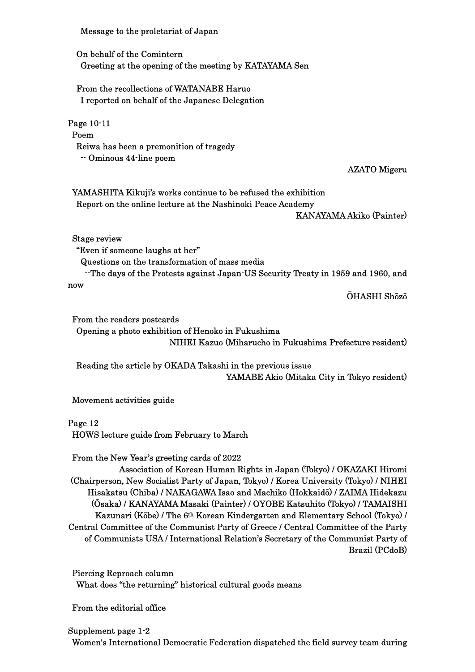Message to the proletariat of Japan

On behalf of the Comintern Greeting at the opening of the meeting by KATAYAMA Sen

From the recollections of WATANABE Haruo I reported on behalf of the Japanese Delegation

Page 10-11 Poem Reiwa has been a premonition of tragedy -- Ominous 44-line poem

AZATO Migeru

 YAMASHITA Kikuji's works continue to be refused the exhibition Report on the online lecture at the Nashinoki Peace Academy

KANAYAMA Akiko (Painter)

Stage review

"Even if someone laughs at her"

Questions on the transformation of mass media

 --The days of the Protests against Japan-US Security Treaty in 1959 and 1960, and now

ŌHASHI Shōzō

From the readers postcards Opening a photo exhibition of Henoko in Fukushima NIHEI Kazuo (Miharucho in Fukushima Prefecture resident)

 Reading the article by OKADA Takashi in the previous issue YAMABE Akio (Mitaka City in Tokyo resident)

Movement activities guide

Page 12

HOWS lecture guide from February to March

From the New Year's greeting cards of 2022

 Association of Korean Human Rights in Japan (Tokyo) / OKAZAKI Hiromi (Chairperson, New Socialist Party of Japan, Tokyo) / Korea University (Tokyo) / NIHEI Hisakatsu (Chiba) / NAKAGAWA Isao and Machiko (Hokkaidō) / ZAIMA Hidekazu (Ōsaka) / KANAYAMA Masaki (Painter) / OYOBE Katsuhito (Tokyo) / TAMAISHI Kazunari (Kōbe) / The 6th Korean Kindergarten and Elementary School (Tokyo) / Central Committee of the Communist Party of Greece / Central Committee of the Party of Communists USA / International Relation's Secretary of the Communist Party of Brazil (PCdoB)

Piercing Reproach column What does "the returning" historical cultural goods means

From the editorial office

## Supplement page 1-2

Women's International Democratic Federation dispatched the field survey team during